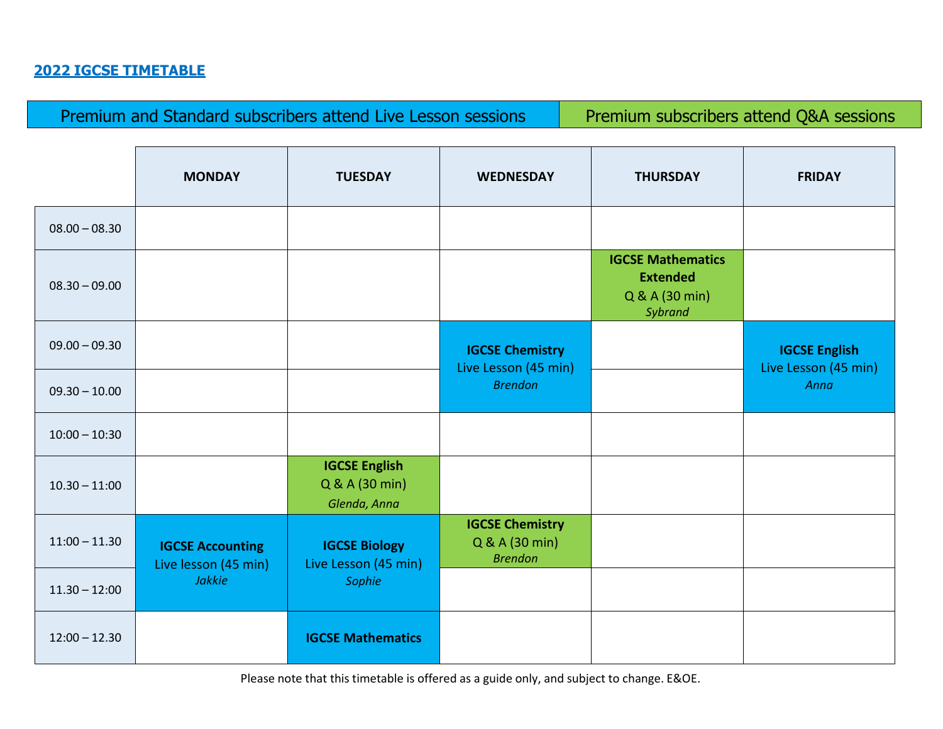## **2022 IGCSE TIMETABLE**

Premium and Standard subscribers attend Live Lesson sessions Premium subscribers attend Q&A sessions

|                 | <b>MONDAY</b>                                                    | <b>TUESDAY</b>                                         | <b>WEDNESDAY</b>                                           | <b>THURSDAY</b>                                                          | <b>FRIDAY</b>                                |
|-----------------|------------------------------------------------------------------|--------------------------------------------------------|------------------------------------------------------------|--------------------------------------------------------------------------|----------------------------------------------|
| $08.00 - 08.30$ |                                                                  |                                                        |                                                            |                                                                          |                                              |
| $08.30 - 09.00$ |                                                                  |                                                        |                                                            | <b>IGCSE Mathematics</b><br><b>Extended</b><br>Q & A (30 min)<br>Sybrand |                                              |
| $09.00 - 09.30$ |                                                                  |                                                        | <b>IGCSE Chemistry</b><br>Live Lesson (45 min)             |                                                                          | <b>IGCSE English</b><br>Live Lesson (45 min) |
| $09.30 - 10.00$ |                                                                  |                                                        | <b>Brendon</b>                                             |                                                                          | Anna                                         |
| $10:00 - 10:30$ |                                                                  |                                                        |                                                            |                                                                          |                                              |
| $10.30 - 11:00$ |                                                                  | <b>IGCSE English</b><br>Q & A (30 min)<br>Glenda, Anna |                                                            |                                                                          |                                              |
| $11:00 - 11.30$ | <b>IGCSE Accounting</b><br>Live lesson (45 min)<br><b>Jakkie</b> | <b>IGCSE Biology</b><br>Live Lesson (45 min)<br>Sophie | <b>IGCSE Chemistry</b><br>Q & A (30 min)<br><b>Brendon</b> |                                                                          |                                              |
| $11.30 - 12:00$ |                                                                  |                                                        |                                                            |                                                                          |                                              |
| $12:00 - 12.30$ |                                                                  | <b>IGCSE Mathematics</b>                               |                                                            |                                                                          |                                              |

Please note that this timetable is offered as a guide only, and subject to change. E&OE.